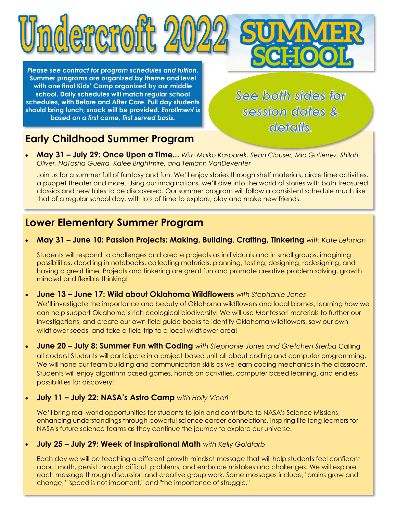*Please see contract for program schedules and tuition.*  **Summer programs are organized by theme and level with one final Kids' Camp organized by our middle school. Daily schedules will match regular school schedules, with Before and After Care. Full day students should bring lunch; snack will be provided.** *Enrollment is based on a first come, first served basis.*

ndereroitt 2

See both sides for session dates & details.

# **Early Childhood Summer Program**

 **May 31 – July 29: Once Upon a Time...** *With Maiko Kasparek, Sean Clouser, Mia Gutierrez, Shiloh Oliver, NaTasha Guerra, Kalee Brightmire, and Terriann VanDeventer*

Join us for a summer full of fantasy and fun. We'll enjoy stories through shelf materials, circle time activities, a puppet theater and more. Using our imaginations, we'll dive into the world of stories with both treasured classics and new tales to be discovered. Our summer program will follow a consistent schedule much like that of a regular school day, with lots of time to explore, play and make new friends.

## **Lower Elementary Summer Program**

**May 31 – June 10: Passion Projects: Making, Building, Crafting, Tinkering** *with Kate Lehman*

Students will respond to challenges and create projects as individuals and in small groups, imagining possibilities, doodling in notebooks, collecting materials, planning, testing, designing, redesigning, and having a great time. Projects and tinkering are great fun and promote creative problem solving, growth mindset and flexible thinking!

**June 13 – June 17: Wild about Oklahoma Wildflowers** *with Stephanie Jones*

We'll investigate the importance and beauty of Oklahoma wildflowers and local biomes, learning how we can help support Oklahoma's rich ecological biodiversity! We will use Montessori materials to further our investigations, and create our own field guide books to identify Oklahoma wildflowers, sow our own wildflower seeds, and take a field trip to a local wildflower area!

- **June 20 July 8: Summer Fun with Coding** *with Stephanie Jones and Gretchen Sterba* Calling all coders! Students will participate in a project based unit all about coding and computer programming. We will hone our team building and communication skills as we learn coding mechanics in the classroom. Students will enjoy algorithm based games, hands on activities, computer based learning, and endless possibilities for discovery!
- **July 11 July 22: NASA's Astro Camp** *with Holly Vicari*

We'll bring real-world opportunities for students to join and contribute to NASA's Science Missions, enhancing understandings through powerful science career connections, inspiring life-long learners for NASA's future science teams as they continue the journey to explore our universe.

**July 25 – July 29: Week of Inspirational Math** *with Kelly Goldfarb*

Each day we will be teaching a different growth mindset message that will help students feel confident about math, persist through difficult problems, and embrace mistakes and challenges. We will explore each message through discussion and creative group work. Some messages include, "brains grow and change," "speed is not important," and "the importance of struggle."